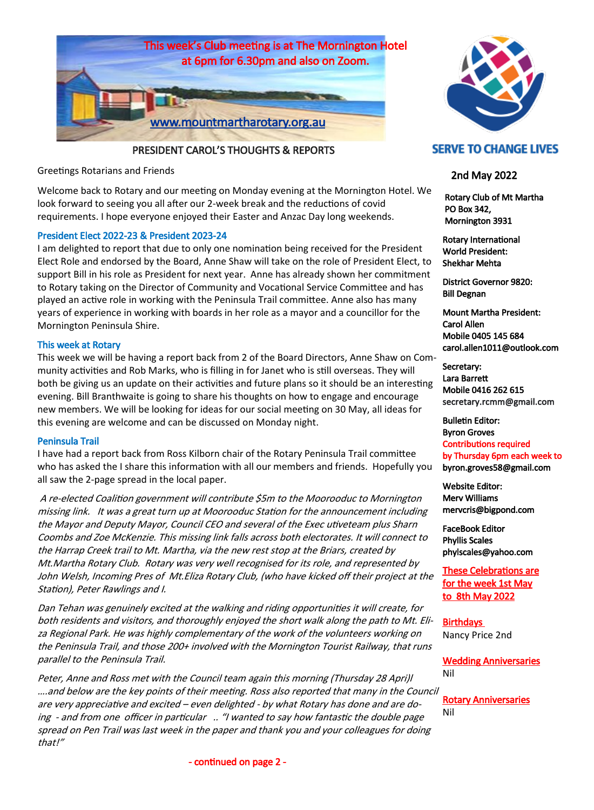

PRESIDENT CAROL'S THOUGHTS & REPORTS

Greetings Rotarians and Friends

Welcome back to Rotary and our meeting on Monday evening at the Mornington Hotel. We look forward to seeing you all after our 2-week break and the reductions of covid requirements. I hope everyone enjoyed their Easter and Anzac Day long weekends.

## President Elect 2022-23 & President 2023-24

I am delighted to report that due to only one nomination being received for the President Elect Role and endorsed by the Board, Anne Shaw will take on the role of President Elect, to support Bill in his role as President for next year. Anne has already shown her commitment to Rotary taking on the Director of Community and Vocational Service Committee and has played an active role in working with the Peninsula Trail committee. Anne also has many years of experience in working with boards in her role as a mayor and a councillor for the Mornington Peninsula Shire.

## This week at Rotary

This week we will be having a report back from 2 of the Board Directors, Anne Shaw on Community activities and Rob Marks, who is filling in for Janet who is still overseas. They will both be giving us an update on their activities and future plans so it should be an interesting evening. Bill Branthwaite is going to share his thoughts on how to engage and encourage new members. We will be looking for ideas for our social meeting on 30 May, all ideas for this evening are welcome and can be discussed on Monday night.

### Peninsula Trail

I have had a report back from Ross Kilborn chair of the Rotary Peninsula Trail committee who has asked the I share this information with all our members and friends. Hopefully you all saw the 2-page spread in the local paper.

A re-elected Coalition government will contribute \$5m to the Moorooduc to Mornington missing link. It was a great turn up at Moorooduc Station for the announcement including the Mayor and Deputy Mayor, Council CEO and several of the Exec utiveteam plus Sharn Coombs and Zoe McKenzie. This missing link falls across both electorates. It will connect to the Harrap Creek trail to Mt. Martha, via the new rest stop at the Briars, created by Mt.Martha Rotary Club. Rotary was very well recognised for its role, and represented by John Welsh, Incoming Pres of Mt.Eliza Rotary Club, (who have kicked off their project at the Station), Peter Rawlings and I.

Dan Tehan was genuinely excited at the walking and riding opportunities it will create, for both residents and visitors, and thoroughly enjoyed the short walk along the path to Mt. Eliza Regional Park. He was highly complementary of the work of the volunteers working on the Peninsula Trail, and those 200+ involved with the Mornington Tourist Railway, that runs parallel to the Peninsula Trail.

Peter, Anne and Ross met with the Council team again this morning (Thursday 28 Apri)l ….and below are the key points of their meeting. Ross also reported that many in the Council are very appreciative and excited – even delighted - by what Rotary has done and are doing - and from one officer in particular .. "I wanted to say how fantastic the double page spread on Pen Trail was last week in the paper and thank you and your colleagues for doing that!"

# **SERVE TO CHANGE LIVES**

# 2nd May 2022

 Rotary Club of Mt Martha PO Box 342, Mornington 3931

Rotary International World President: Shekhar Mehta

District Governor 9820: Bill Degnan

Mount Martha President: Carol Allen Mobile 0405 145 684 carol.allen1011@outlook.com

Secretary: Lara Barrett Mobile 0416 262 615 secretary.rcmm@gmail.com

Bulletin Editor: Byron Groves Contributions required by Thursday 6pm each week to byron.groves58@gmail.com

Website Editor: Merv Williams mervcris@bigpond.com

FaceBook Editor Phyllis Scales phylscales@yahoo.com

These Celebrations are for the week 1st May to 8th May 2022

**Birthdays** Nancy Price 2nd

Wedding Anniversaries Nil

Rotary Anniversaries Nil

- continued on page 2 -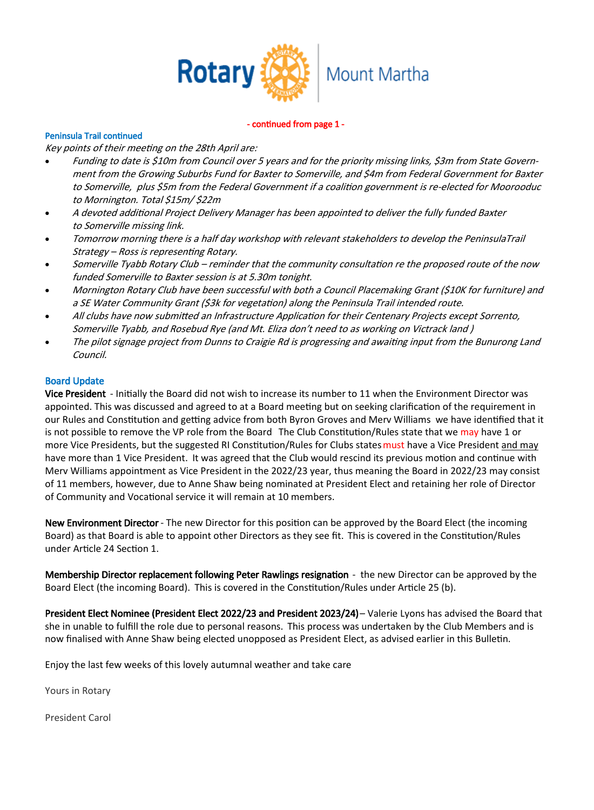

#### - continued from page 1 -

## Peninsula Trail continued

Key points of their meeting on the 28th April are:

- Funding to date is \$10m from Council over 5 years and for the priority missing links, \$3m from State Government from the Growing Suburbs Fund for Baxter to Somerville, and \$4m from Federal Government for Baxter to Somerville, plus \$5m from the Federal Government if a coalition government is re-elected for Moorooduc to Mornington. Total \$15m/ \$22m
- A devoted additional Project Delivery Manager has been appointed to deliver the fully funded Baxter to Somerville missing link.
- Tomorrow morning there is a half day workshop with relevant stakeholders to develop the PeninsulaTrail Strategy – Ross is representing Rotary.
- Somerville Tyabb Rotary Club reminder that the community consultation re the proposed route of the now funded Somerville to Baxter session is at 5.30m tonight.
- Mornington Rotary Club have been successful with both a Council Placemaking Grant (\$10K for furniture) and a SE Water Community Grant (\$3k for vegetation) along the Peninsula Trail intended route.
- All clubs have now submitted an Infrastructure Application for their Centenary Projects except Sorrento, Somerville Tyabb, and Rosebud Rye (and Mt. Eliza don't need to as working on Victrack land )
- The pilot signage project from Dunns to Craigie Rd is progressing and awaiting input from the Bunurong Land Council.

### Board Update

Vice President - Initially the Board did not wish to increase its number to 11 when the Environment Director was appointed. This was discussed and agreed to at a Board meeting but on seeking clarification of the requirement in our Rules and Constitution and getting advice from both Byron Groves and Merv Williams we have identified that it is not possible to remove the VP role from the Board The Club Constitution/Rules state that we may have 1 or more Vice Presidents, but the suggested RI Constitution/Rules for Clubs states must have a Vice President and may have more than 1 Vice President. It was agreed that the Club would rescind its previous motion and continue with Merv Williams appointment as Vice President in the 2022/23 year, thus meaning the Board in 2022/23 may consist of 11 members, however, due to Anne Shaw being nominated at President Elect and retaining her role of Director of Community and Vocational service it will remain at 10 members.

New Environment Director - The new Director for this position can be approved by the Board Elect (the incoming Board) as that Board is able to appoint other Directors as they see fit. This is covered in the Constitution/Rules under Article 24 Section 1.

Membership Director replacement following Peter Rawlings resignation - the new Director can be approved by the Board Elect (the incoming Board). This is covered in the Constitution/Rules under Article 25 (b).

President Elect Nominee (President Elect 2022/23 and President 2023/24) - Valerie Lyons has advised the Board that she in unable to fulfill the role due to personal reasons. This process was undertaken by the Club Members and is now finalised with Anne Shaw being elected unopposed as President Elect, as advised earlier in this Bulletin.

Enjoy the last few weeks of this lovely autumnal weather and take care

Yours in Rotary

President Carol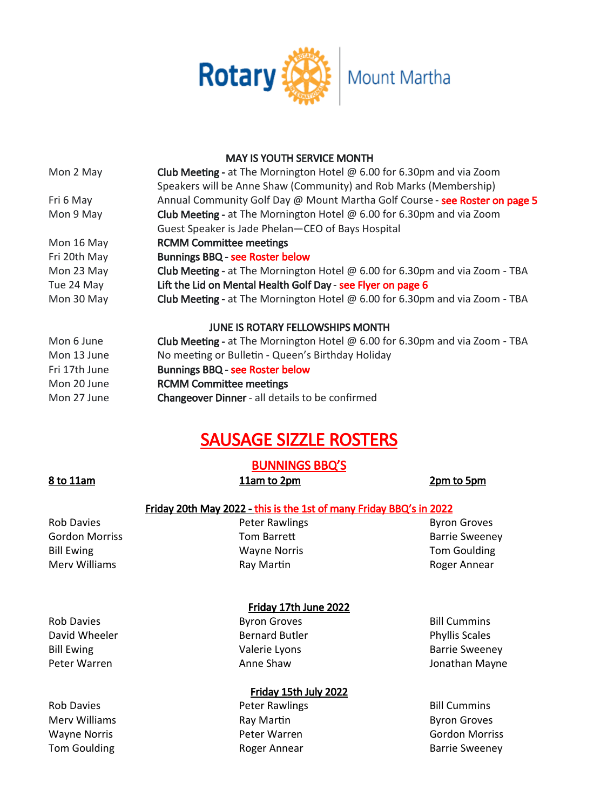

## MAY IS YOUTH SERVICE MONTH

| Mon 2 May                                                                                   | <b>Club Meeting -</b> at The Mornington Hotel $\omega$ 6.00 for 6.30pm and via Zoom |  |  |  |  |  |  |  |
|---------------------------------------------------------------------------------------------|-------------------------------------------------------------------------------------|--|--|--|--|--|--|--|
|                                                                                             | Speakers will be Anne Shaw (Community) and Rob Marks (Membership)                   |  |  |  |  |  |  |  |
| Annual Community Golf Day @ Mount Martha Golf Course - see Roster on page 5<br>Fri 6 May    |                                                                                     |  |  |  |  |  |  |  |
| Mon 9 May                                                                                   | <b>Club Meeting -</b> at The Mornington Hotel $\omega$ 6.00 for 6.30pm and via Zoom |  |  |  |  |  |  |  |
|                                                                                             | Guest Speaker is Jade Phelan-CEO of Bays Hospital                                   |  |  |  |  |  |  |  |
| Mon 16 May                                                                                  | <b>RCMM Committee meetings</b>                                                      |  |  |  |  |  |  |  |
| Fri 20th May                                                                                | <b>Bunnings BBQ - see Roster below</b>                                              |  |  |  |  |  |  |  |
| Mon 23 May                                                                                  | Club Meeting - at The Mornington Hotel $\omega$ 6.00 for 6.30pm and via Zoom - TBA  |  |  |  |  |  |  |  |
| Tue 24 May                                                                                  | Lift the Lid on Mental Health Golf Day - see Flyer on page 6                        |  |  |  |  |  |  |  |
| Club Meeting - at The Mornington Hotel $@$ 6.00 for 6.30pm and via Zoom - TBA<br>Mon 30 May |                                                                                     |  |  |  |  |  |  |  |
|                                                                                             | <b>JUNE IS ROTARY FELLOWSHIPS MONTH</b>                                             |  |  |  |  |  |  |  |
| Mon 6 June                                                                                  | Club Meeting - at The Mornington Hotel @ 6.00 for 6.30pm and via Zoom - TBA         |  |  |  |  |  |  |  |
| Mon 13 June                                                                                 | No meeting or Bulletin - Queen's Birthday Holiday                                   |  |  |  |  |  |  |  |
| Fri 17th June                                                                               | <b>Bunnings BBQ - see Roster below</b>                                              |  |  |  |  |  |  |  |
|                                                                                             |                                                                                     |  |  |  |  |  |  |  |

- Mon 20 June **RCMM Committee meetings**
- Mon 27 June **Changeover Dinner** all details to be confirmed

# SAUSAGE SIZZLE ROSTERS

# BUNNINGS BBQ'S

# 8 to 11am 11am to 2pm 2pm b 5pm

# Friday 20th May 2022 - this is the 1st of many Friday BBQ's in 2022

Rob Davies **Rob Davies Peter Rawlings Byron Groves** Gordon Morriss **Tom Barrett** Gordon Morriss **Barrie Sweeney** Bill Ewing Wayne Norris Tom Goulding Merv Williams **Ray Martin** Ray Martin **Roger Annear** 

# Friday 17th June 2022

Rob Davies **Byron Groves** Byron Groves **Bill Cummins** David Wheeler **Bernard Butler** Bernard Butler **Phyllis Scales** Bill Ewing Valerie Lyons Barrie Sweeney

# Friday 15th July 2022

Rob Davies **Rob Davies Peter Rawlings Bill Cummins** Merv Williams **Ray Martin** Ray Martin **Ray Martin** Byron Groves Wayne Norris Peter Warren Gordon Morriss Tom Goulding Tom Goulding Tom Goulding Tom Goulding Roger Annear Tom Barrie Sweeney

Peter Warren **Anne Shaw** Anne Shaw Jonathan Mayne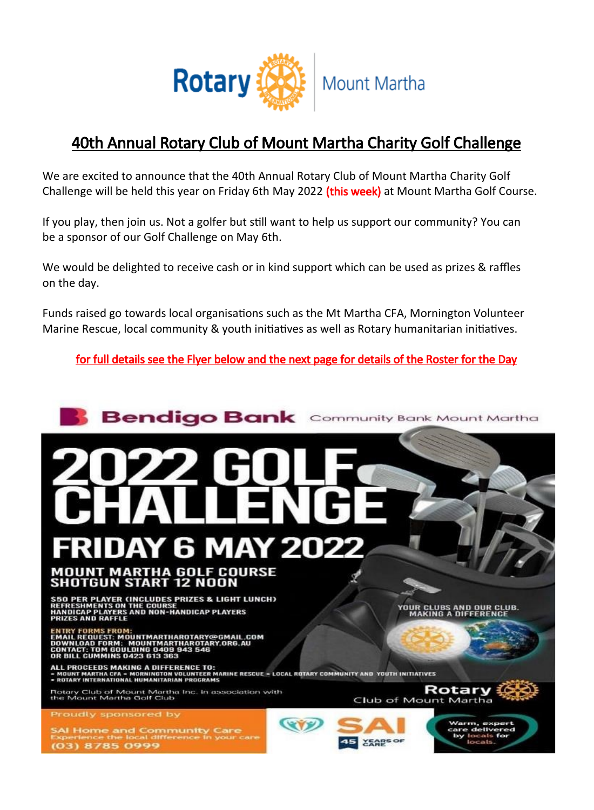

# 40th Annual Rotary Club of Mount Martha Charity Golf Challenge

We are excited to announce that the 40th Annual Rotary Club of Mount Martha Charity Golf Challenge will be held this year on Friday 6th May 2022 (this week) at Mount Martha Golf Course.

If you play, then join us. Not a golfer but still want to help us support our community? You can be a sponsor of our Golf Challenge on May 6th.

We would be delighted to receive cash or in kind support which can be used as prizes & raffles on the day.

Funds raised go towards local organisations such as the Mt Martha CFA, Mornington Volunteer Marine Rescue, local community & youth initiatives as well as Rotary humanitarian initiatives.

for full details see the Flyer below and the next page for details of the Roster for the Day

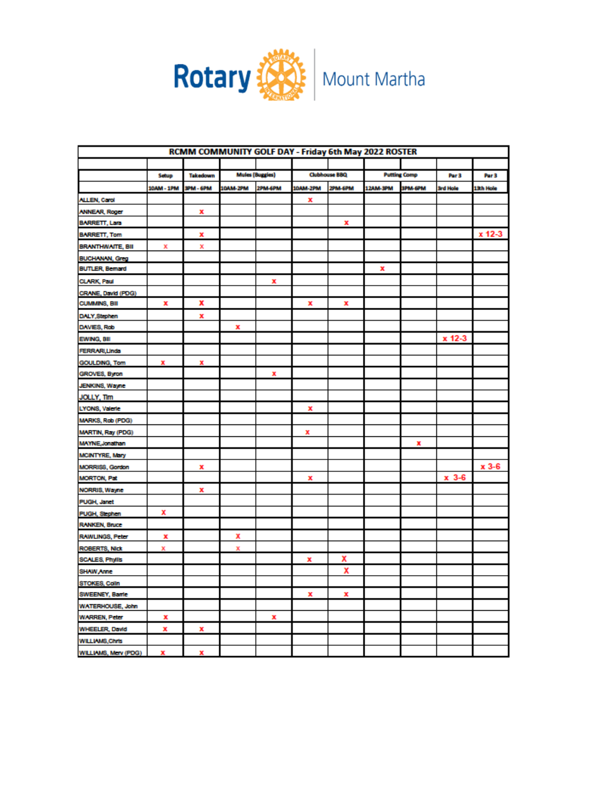

| RCMM COMMUNITY GOLF DAY - Friday 6th May 2022 ROSTER |            |                  |          |                        |                      |         |                     |                |                  |                  |
|------------------------------------------------------|------------|------------------|----------|------------------------|----------------------|---------|---------------------|----------------|------------------|------------------|
|                                                      |            |                  |          |                        |                      |         |                     |                |                  |                  |
|                                                      | Sebup      | Takedown         |          | <b>Mules (Buggies)</b> | <b>Clubhouse BBQ</b> |         | <b>Putting Comp</b> |                | Par <sub>3</sub> | Par <sub>3</sub> |
|                                                      | 10AM - 1PM | <b>SPM - 6PM</b> | 10AM-2PM | 2PM-6PM                | 10AM-2PM             | 2PM-6PM | 12AM-3PM            | <b>3PM-6PM</b> | 3rd Hole         | 13th Hole        |
| <b>ALLEN, Carol</b>                                  |            |                  |          |                        | x                    |         |                     |                |                  |                  |
| <b>ANNEAR, Roger</b>                                 |            | x                |          |                        |                      |         |                     |                |                  |                  |
| <b>BARRETT, Lara</b>                                 |            |                  |          |                        |                      | x       |                     |                |                  |                  |
| <b>BARRETT, Tom</b>                                  |            | x                |          |                        |                      |         |                     |                |                  | x 12-3           |
| <b>BRANTHWAITE, BII</b>                              | х          | x                |          |                        |                      |         |                     |                |                  |                  |
| <b>BUCHANAN, Greg</b>                                |            |                  |          |                        |                      |         |                     |                |                  |                  |
| <b>BUTLER, Bemard</b>                                |            |                  |          |                        |                      |         | x                   |                |                  |                  |
| <b>CLARK, Paul</b>                                   |            |                  |          | x                      |                      |         |                     |                |                  |                  |
| CRANE, David (PDG)                                   |            |                  |          |                        |                      |         |                     |                |                  |                  |
| <b>CUMMINS, BII</b>                                  | x          | x                |          |                        | x                    | x       |                     |                |                  |                  |
| DALY, Stephen                                        |            | x                |          |                        |                      |         |                     |                |                  |                  |
| DAVIES, Rob                                          |            |                  | x        |                        |                      |         |                     |                |                  |                  |
| EWING, BII                                           |            |                  |          |                        |                      |         |                     |                | x 12-3           |                  |
| <b>FERRARI, Linda</b>                                |            |                  |          |                        |                      |         |                     |                |                  |                  |
| <b>GOULDING, Tom</b>                                 | x          | x                |          |                        |                      |         |                     |                |                  |                  |
| GROVES, Byron                                        |            |                  |          | x                      |                      |         |                     |                |                  |                  |
| JENKINS, Wayne                                       |            |                  |          |                        |                      |         |                     |                |                  |                  |
| JOLLY, Tim                                           |            |                  |          |                        |                      |         |                     |                |                  |                  |
| LYONS, Valerie                                       |            |                  |          |                        | x                    |         |                     |                |                  |                  |
| MARKS, Rob (PDG)                                     |            |                  |          |                        |                      |         |                     |                |                  |                  |
| <b>MARTIN, Ray (PDG)</b>                             |            |                  |          |                        | x                    |         |                     |                |                  |                  |
| <b>MAYNE, Jonathan</b>                               |            |                  |          |                        |                      |         |                     | x              |                  |                  |
| <b>MCINTYRE, Mary</b>                                |            |                  |          |                        |                      |         |                     |                |                  |                  |
| MORRISS, Gordon                                      |            | x                |          |                        |                      |         |                     |                |                  | x 3-6            |
| <b>MORTON, Pat</b>                                   |            |                  |          |                        | x                    |         |                     |                | $x - 3 - 6$      |                  |
| NORRIS, Wayne                                        |            | x                |          |                        |                      |         |                     |                |                  |                  |
| <b>PUGH, Janet</b>                                   |            |                  |          |                        |                      |         |                     |                |                  |                  |
| <b>PUGH, Stephen</b>                                 | x          |                  |          |                        |                      |         |                     |                |                  |                  |
| <b>RANKEN, Bruce</b>                                 |            |                  |          |                        |                      |         |                     |                |                  |                  |
| RAWLINGS, Peter                                      | x          |                  | x        |                        |                      |         |                     |                |                  |                  |
| <b>ROBERTS, Nick</b>                                 | x          |                  | х        |                        |                      |         |                     |                |                  |                  |
| SCALES, Phylis                                       |            |                  |          |                        | x                    | x       |                     |                |                  |                  |
| SHAW Anne                                            |            |                  |          |                        |                      | χ       |                     |                |                  |                  |
| STOKES, Colin                                        |            |                  |          |                        |                      |         |                     |                |                  |                  |
| <b>SWEENEY, Barrie</b>                               |            |                  |          |                        | x                    | x       |                     |                |                  |                  |
| WATERHOUSE, John                                     |            |                  |          |                        |                      |         |                     |                |                  |                  |
| <b>WARREN, Peter</b>                                 | x          |                  |          | x                      |                      |         |                     |                |                  |                  |
| <b>WHEELER, David</b>                                | x          | x                |          |                        |                      |         |                     |                |                  |                  |
| WILLIAMS, Chris                                      |            |                  |          |                        |                      |         |                     |                |                  |                  |
| WILLIAMS, Merv (PDG)                                 | x          | x                |          |                        |                      |         |                     |                |                  |                  |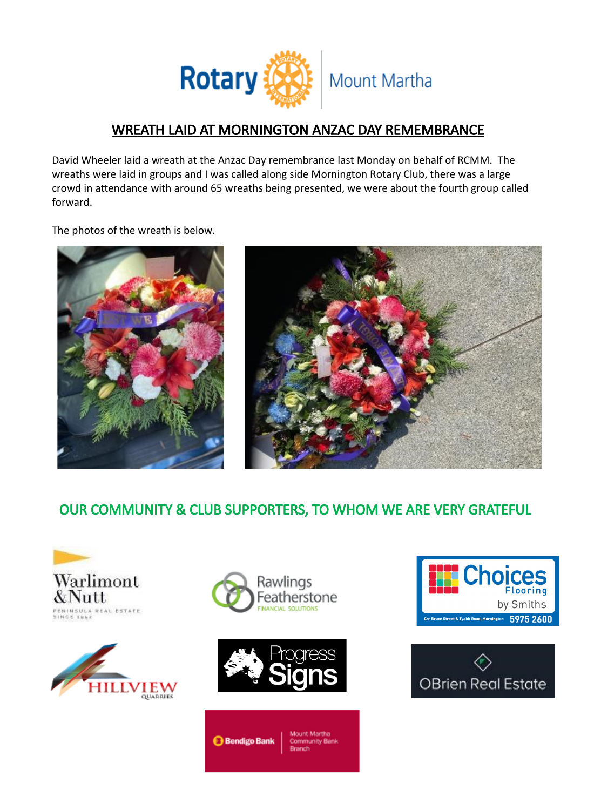

# WREATH LAID AT MORNINGTON ANZAC DAY REMEMBRANCE

David Wheeler laid a wreath at the Anzac Day remembrance last Monday on behalf of RCMM. The wreaths were laid in groups and I was called along side Mornington Rotary Club, there was a large crowd in attendance with around 65 wreaths being presented, we were about the fourth group called forward.

The photos of the wreath is below.





# OUR COMMUNITY & CLUB SUPPORTERS, TO WHOM WE ARE VERY GRATEFUL









**Bendigo Bank** 

Choices **Flooring** by Smiths eet & Tyabb Road, Mornington 5975 2600

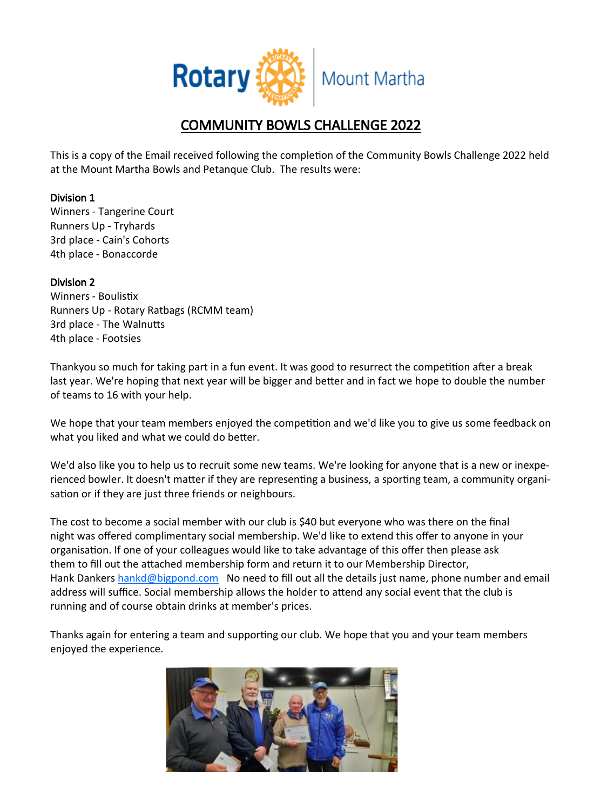

# COMMUNITY BOWLS CHALLENGE 2022

This is a copy of the Email received following the completion of the Community Bowls Challenge 2022 held at the Mount Martha Bowls and Petanque Club. The results were:

# Division 1

Winners - Tangerine Court Runners Up - Tryhards 3rd place - Cain's Cohorts 4th place - Bonaccorde

## Division 2

Winners - Boulistix Runners Up - Rotary Ratbags (RCMM team) 3rd place - The Walnutts 4th place - Footsies

Thankyou so much for taking part in a fun event. It was good to resurrect the competition after a break last year. We're hoping that next year will be bigger and better and in fact we hope to double the number of teams to 16 with your help.

We hope that your team members enjoyed the competition and we'd like you to give us some feedback on what you liked and what we could do better.

We'd also like you to help us to recruit some new teams. We're looking for anyone that is a new or inexperienced bowler. It doesn't matter if they are representing a business, a sporting team, a community organisation or if they are just three friends or neighbours.

The cost to become a social member with our club is \$40 but everyone who was there on the final night was offered complimentary social membership. We'd like to extend this offer to anyone in your organisation. If one of your colleagues would like to take advantage of this offer then please ask them to fill out the attached membership form and return it to our Membership Director, Hank Dankers [hankd@bigpond.com](mailto:hankd@bigpond.com) No need to fill out all the details just name, phone number and email address will suffice. Social membership allows the holder to attend any social event that the club is running and of course obtain drinks at member's prices.

Thanks again for entering a team and supporting our club. We hope that you and your team members enjoyed the experience.

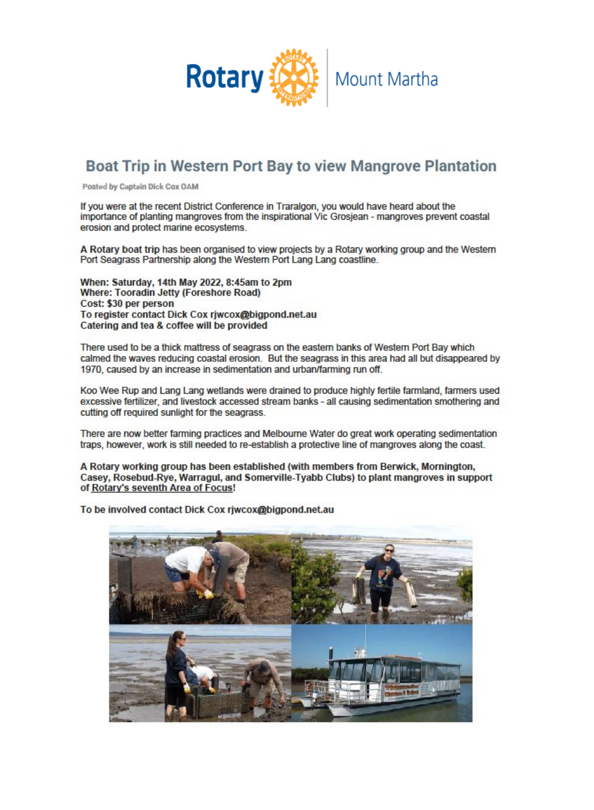

# **Boat Trip in Western Port Bay to view Mangrove Plantation**

Posted by Captain Dick Cox OAM

If you were at the recent District Conference in Traralgon, you would have heard about the importance of planting mangroves from the inspirational Vic Grosjean - mangroves prevent coastal erosion and protect marine ecosystems.

A Rotary boat trip has been organised to view projects by a Rotary working group and the Western Port Seagrass Partnership along the Western Port Lang Lang coastline.

When: Saturday, 14th May 2022, 8:45am to 2pm Where: Tooradin Jetty (Foreshore Road) Cost: \$30 per person To register contact Dick Cox rjwcox@bigpond.net.au Catering and tea & coffee will be provided

There used to be a thick mattress of seagrass on the eastern banks of Western Port Bay which calmed the waves reducing coastal erosion. But the seagrass in this area had all but disappeared by 1970, caused by an increase in sedimentation and urban/farming run off.

Koo Wee Rup and Lang Lang wetlands were drained to produce highly fertile farmland, farmers used excessive fertilizer, and livestock accessed stream banks - all causing sedimentation smothering and cutting off required sunlight for the seagrass.

There are now better farming practices and Melbourne Water do great work operating sedimentation traps, however, work is still needed to re-establish a protective line of mangroves along the coast.

A Rotary working group has been established (with members from Berwick, Mornington, Casey, Rosebud-Rye, Warragul, and Somerville-Tyabb Clubs) to plant mangroves in support of Rotary's seventh Area of Focus!

To be involved contact Dick Cox rjwcox@bigpond.net.au

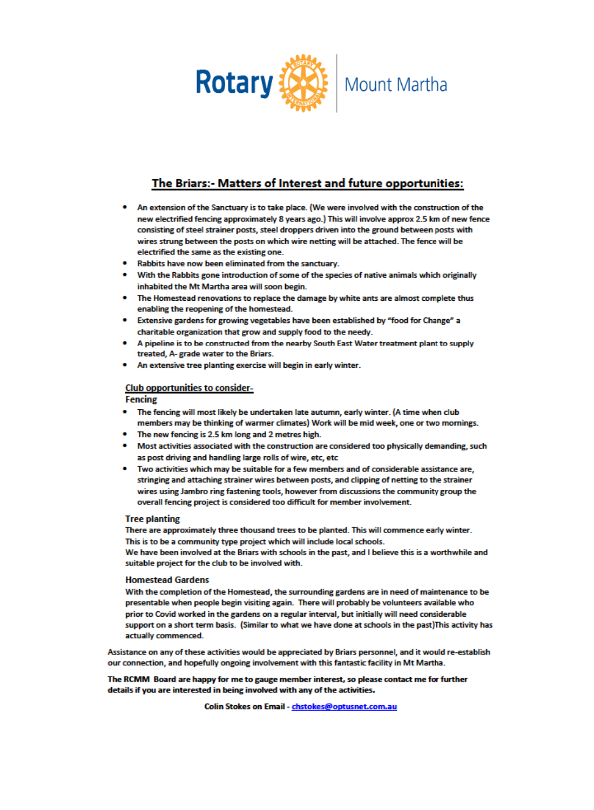

# The Briars:- Matters of Interest and future opportunities:

- . An extension of the Sanctuary is to take place. (We were involved with the construction of the new electrified fencing approximately 8 years ago.) This will involve approx 2.5 km of new fence consisting of steel strainer posts, steel droppers driven into the ground between posts with wires strung between the posts on which wire netting will be attached. The fence will be electrified the same as the existing one.
- . Rabbits have now been eliminated from the sanctuary.
- With the Rabbits gone introduction of some of the species of native animals which originally inhabited the Mt Martha area will soon begin.
- . The Homestead renovations to replace the damage by white ants are almost complete thus enabling the reopening of the homestead.
- Extensive gardens for growing vegetables have been established by "food for Change" a charitable organization that grow and supply food to the needy.
- A pipeline is to be constructed from the nearby South East Water treatment plant to supply treated. A- grade water to the Briars.
- An extensive tree planting exercise will begin in early winter.

#### **Club opportunities to consider-**

#### **Fencing**

- The fencing will most likely be undertaken late autumn, early winter. (A time when club members may be thinking of warmer climates) Work will be mid week, one or two mornings.
- The new fencing is 2.5 km long and 2 metres high.
- . Most activities associated with the construction are considered too physically demanding, such as post driving and handling large rolls of wire, etc, etc
- . Two activities which may be suitable for a few members and of considerable assistance are, stringing and attaching strainer wires between posts, and clipping of netting to the strainer wires using Jambro ring fastening tools, however from discussions the community group the overall fencing project is considered too difficult for member involvement.

#### **Tree planting**

There are approximately three thousand trees to be planted. This will commence early winter. This is to be a community type project which will include local schools.

We have been involved at the Briars with schools in the past, and I believe this is a worthwhile and suitable project for the club to be involved with.

#### **Homestead Gardens**

With the completion of the Homestead, the surrounding gardens are in need of maintenance to be presentable when people begin visiting again. There will probably be volunteers available who prior to Covid worked in the gardens on a regular interval, but initially will need considerable support on a short term basis. (Similar to what we have done at schools in the past) This activity has actually commenced.

Assistance on any of these activities would be appreciated by Briars personnel, and it would re-establish our connection, and hopefully ongoing involvement with this fantastic facility in Mt Martha.

The RCMM Board are happy for me to gauge member interest, so please contact me for further details if you are interested in being involved with any of the activities.

Colin Stokes on Email - chstokes@optusnet.com.au